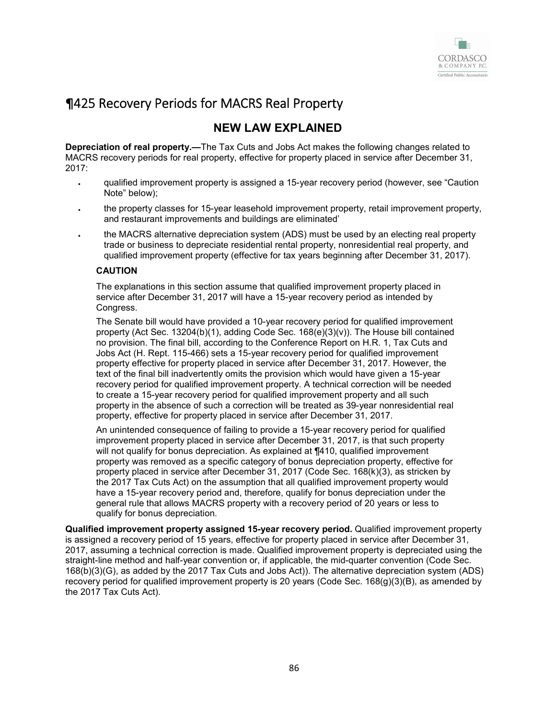

# ¶425 Recovery Periods for MACRS Real Property

# **NEW LAW EXPLAINED**

**Depreciation of real property.—**The Tax Cuts and Jobs Act makes the following changes related to MACRS recovery periods for real property, effective for property placed in service after December 31, 2017:

- qualified improvement property is assigned a 15-year recovery period (however, see "Caution Note" below);
- the property classes for 15-year leasehold improvement property, retail improvement property, and restaurant improvements and buildings are eliminated'
- the MACRS alternative depreciation system (ADS) must be used by an electing real property trade or business to depreciate residential rental property, nonresidential real property, and qualified improvement property (effective for tax years beginning after December 31, 2017).

#### **CAUTION**

The explanations in this section assume that qualified improvement property placed in service after December 31, 2017 will have a 15-year recovery period as intended by Congress.

The Senate bill would have provided a 10-year recovery period for qualified improvement property (Act Sec. 13204(b)(1), adding Code Sec. 168(e)(3)(v)). The House bill contained no provision. The final bill, according to the Conference Report on H.R. 1, Tax Cuts and Jobs Act (H. Rept. 115-466) sets a 15-year recovery period for qualified improvement property effective for property placed in service after December 31, 2017. However, the text of the final bill inadvertently omits the provision which would have given a 15-year recovery period for qualified improvement property. A technical correction will be needed to create a 15-year recovery period for qualified improvement property and all such property in the absence of such a correction will be treated as 39-year nonresidential real property, effective for property placed in service after December 31, 2017.

An unintended consequence of failing to provide a 15-year recovery period for qualified improvement property placed in service after December 31, 2017, is that such property will not qualify for bonus depreciation. As explained at  $\Pi$ 410, qualified improvement property was removed as a specific category of bonus depreciation property, effective for property placed in service after December 31, 2017 (Code Sec. 168(k)(3), as stricken by the 2017 Tax Cuts Act) on the assumption that all qualified improvement property would have a 15-year recovery period and, therefore, qualify for bonus depreciation under the general rule that allows MACRS property with a recovery period of 20 years or less to qualify for bonus depreciation.

**Qualified improvement property assigned 15-year recovery period.** Qualified improvement property is assigned a recovery period of 15 years, effective for property placed in service after December 31, 2017, assuming a technical correction is made. Qualified improvement property is depreciated using the straight-line method and half-year convention or, if applicable, the mid-quarter convention (Code Sec. 168(b)(3)(G), as added by the 2017 Tax Cuts and Jobs Act)). The alternative depreciation system (ADS) recovery period for qualified improvement property is 20 years (Code Sec. 168(g)(3)(B), as amended by the 2017 Tax Cuts Act).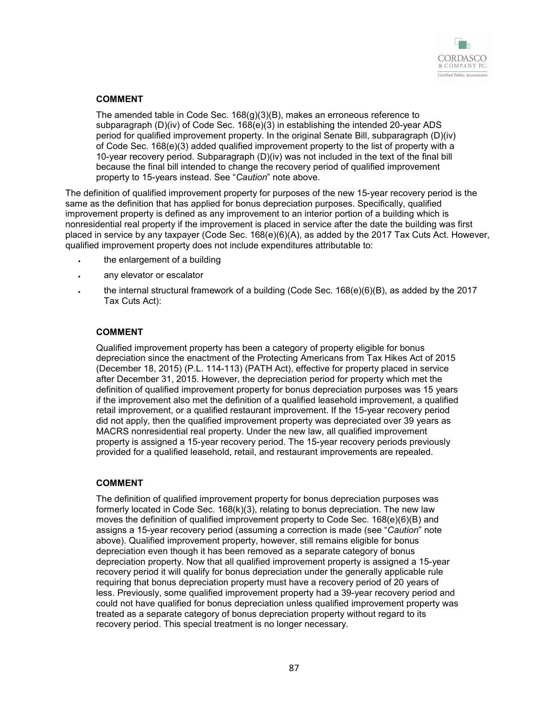

### **COMMENT**

The amended table in Code Sec. 168(g)(3)(B), makes an erroneous reference to subparagraph (D)(iv) of Code Sec. 168(e)(3) in establishing the intended 20-year ADS period for qualified improvement property. In the original Senate Bill, subparagraph (D)(iv) of Code Sec. 168(e)(3) added qualified improvement property to the list of property with a 10-year recovery period. Subparagraph (D)(iv) was not included in the text of the final bill because the final bill intended to change the recovery period of qualified improvement property to 15-years instead. See "*Caution*" note above.

The definition of qualified improvement property for purposes of the new 15-year recovery period is the same as the definition that has applied for bonus depreciation purposes. Specifically, qualified improvement property is defined as any improvement to an interior portion of a building which is nonresidential real property if the improvement is placed in service after the date the building was first placed in service by any taxpayer (Code Sec. 168(e)(6)(A), as added by the 2017 Tax Cuts Act. However, qualified improvement property does not include expenditures attributable to:

- the enlargement of a building
- any elevator or escalator
- the internal structural framework of a building (Code Sec. 168(e)(6)(B), as added by the 2017 Tax Cuts Act):

#### **COMMENT**

Qualified improvement property has been a category of property eligible for bonus depreciation since the enactment of the Protecting Americans from Tax Hikes Act of 2015 (December 18, 2015) (P.L. 114-113) (PATH Act), effective for property placed in service after December 31, 2015. However, the depreciation period for property which met the definition of qualified improvement property for bonus depreciation purposes was 15 years if the improvement also met the definition of a qualified leasehold improvement, a qualified retail improvement, or a qualified restaurant improvement. If the 15-year recovery period did not apply, then the qualified improvement property was depreciated over 39 years as MACRS nonresidential real property. Under the new law, all qualified improvement property is assigned a 15-year recovery period. The 15-year recovery periods previously provided for a qualified leasehold, retail, and restaurant improvements are repealed.

#### **COMMENT**

The definition of qualified improvement property for bonus depreciation purposes was formerly located in Code Sec. 168(k)(3), relating to bonus depreciation. The new law moves the definition of qualified improvement property to Code Sec. 168(e)(6)(B) and assigns a 15-year recovery period (assuming a correction is made (see "*Caution*" note above). Qualified improvement property, however, still remains eligible for bonus depreciation even though it has been removed as a separate category of bonus depreciation property. Now that all qualified improvement property is assigned a 15-year recovery period it will qualify for bonus depreciation under the generally applicable rule requiring that bonus depreciation property must have a recovery period of 20 years of less. Previously, some qualified improvement property had a 39-year recovery period and could not have qualified for bonus depreciation unless qualified improvement property was treated as a separate category of bonus depreciation property without regard to its recovery period. This special treatment is no longer necessary.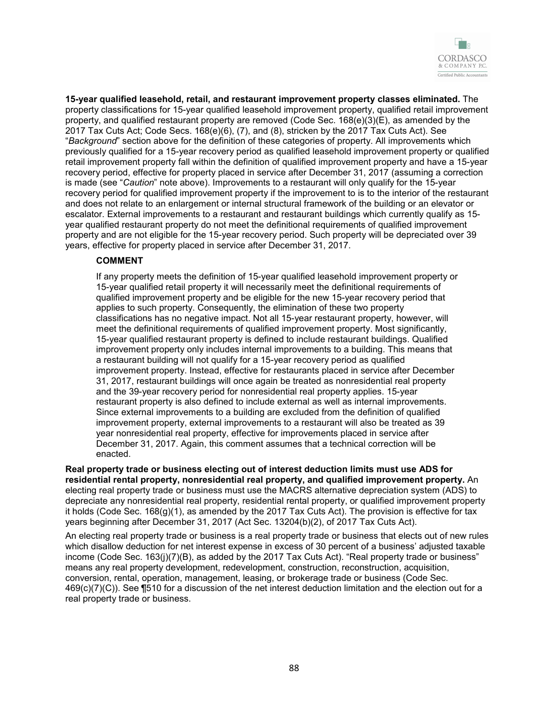

**15-year qualified leasehold, retail, and restaurant improvement property classes eliminated.** The property classifications for 15-year qualified leasehold improvement property, qualified retail improvement property, and qualified restaurant property are removed (Code Sec.  $168(e)(3)(E)$ , as amended by the 2017 Tax Cuts Act; Code Secs. 168(e)(6), (7), and (8), stricken by the 2017 Tax Cuts Act). See "*Background*" section above for the definition of these categories of property. All improvements which previously qualified for a 15-year recovery period as qualified leasehold improvement property or qualified retail improvement property fall within the definition of qualified improvement property and have a 15-year recovery period, effective for property placed in service after December 31, 2017 (assuming a correction is made (see "*Caution*" note above). Improvements to a restaurant will only qualify for the 15-year recovery period for qualified improvement property if the improvement to is to the interior of the restaurant and does not relate to an enlargement or internal structural framework of the building or an elevator or escalator. External improvements to a restaurant and restaurant buildings which currently qualify as 15 year qualified restaurant property do not meet the definitional requirements of qualified improvement property and are not eligible for the 15-year recovery period. Such property will be depreciated over 39 years, effective for property placed in service after December 31, 2017.

#### **COMMENT**

If any property meets the definition of 15-year qualified leasehold improvement property or 15-year qualified retail property it will necessarily meet the definitional requirements of qualified improvement property and be eligible for the new 15-year recovery period that applies to such property. Consequently, the elimination of these two property classifications has no negative impact. Not all 15-year restaurant property, however, will meet the definitional requirements of qualified improvement property. Most significantly, 15-year qualified restaurant property is defined to include restaurant buildings. Qualified improvement property only includes internal improvements to a building. This means that a restaurant building will not qualify for a 15-year recovery period as qualified improvement property. Instead, effective for restaurants placed in service after December 31, 2017, restaurant buildings will once again be treated as nonresidential real property and the 39-year recovery period for nonresidential real property applies. 15-year restaurant property is also defined to include external as well as internal improvements. Since external improvements to a building are excluded from the definition of qualified improvement property, external improvements to a restaurant will also be treated as 39 year nonresidential real property, effective for improvements placed in service after December 31, 2017. Again, this comment assumes that a technical correction will be enacted.

**Real property trade or business electing out of interest deduction limits must use ADS for residential rental property, nonresidential real property, and qualified improvement property.** An electing real property trade or business must use the MACRS alternative depreciation system (ADS) to depreciate any nonresidential real property, residential rental property, or qualified improvement property it holds (Code Sec.  $168(g)(1)$ , as amended by the 2017 Tax Cuts Act). The provision is effective for tax years beginning after December 31, 2017 (Act Sec. 13204(b)(2), of 2017 Tax Cuts Act).

An electing real property trade or business is a real property trade or business that elects out of new rules which disallow deduction for net interest expense in excess of 30 percent of a business' adjusted taxable income (Code Sec. 163(j)(7)(B), as added by the 2017 Tax Cuts Act). "Real property trade or business" means any real property development, redevelopment, construction, reconstruction, acquisition, conversion, rental, operation, management, leasing, or brokerage trade or business (Code Sec. 469(c)(7)(C)). See ¶510 for a discussion of the net interest deduction limitation and the election out for a real property trade or business.